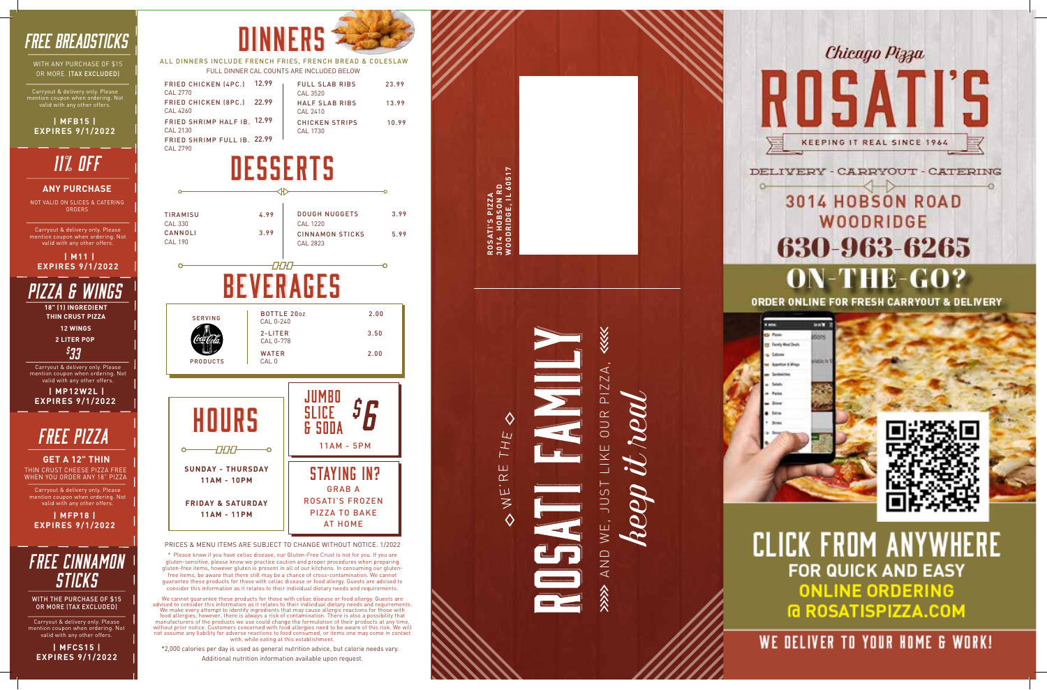**ROSATI'S PIZZA 3014 HOBSON RD WOODRIDGE, IL 60517**

THE

Ш  $\propto$ 

 $\overline{1}$ .  $\overline{3}$  M

 $\Diamond$ 



## **WOODRIDGE** 630-963-6265 ON-THE-GO?

ORDER ONLINE FOR FRESH CARRYOUT & DELIVERY



### **CLICK FROM ANYWHERE FOR QUICK AND EASY ONLINE ORDERING G ROSATISPIZZA.COM**

WE DELIVER TO YOUR HOME & WORK!

### *free Pizza*

THIN CRUST CHEESE PIZZA FREE WHEN YOU ORDER ANY 18" PIZZ A **GET A 12" THIN**

Carryout & delivery only. Please mention coupon when ordering. Not valid with any other offers.

**| MFP18 | EXPIRES 9/1/2022**

 **| M11 | EXPIRES 9/1/2022**

Carryout & delivery only. Please ion coupon when ordering. Not valid with any other offers.

*11% OFF*

NOT VALID ON SLICES & CATERING ORDERS

#### **ANY PURCHASE**

*free CINNAMON STICKS*

Carryout & delivery only. Please mention coupon when ordering. Not valid with any other offers.

**| MFCS15 | EXPIRES 9/1/2022**

WITH THE PURCHASE OF \$15 OR MORE (TAX EXCLUDED)



PRICES & MENU ITEMS ARE SUBJECT TO CHANGE WITHOUT NOTICE. 1/2022

\* Please know if you have celiac disease, our Gluten-Free Crust is not for you. If you are gluten-sensitive, please know we practice caution and proper procedures when preparing gluten-free items, however gluten is present in all of our kitchens. In consuming our glutenfree items, be aware that there still may be a chance of cross-contamination. We cannot guarantee these products for those with celiac disease or food allergy. Guests are advised to consider this information as it relates to their individual dietary needs and requirements.

| <b>DOUGH NUGGETS</b><br>3.99<br>4.99<br><b>TIRAMISU</b><br><b>CAL 1220</b><br><b>CAL 330</b><br>CANNOLI<br>3.99<br><b>CINNAMON STICKS</b><br>5.99<br><b>CAL 190</b><br>CAL 2823<br>665<br><b>BOTTLE 200Z</b><br>2.00<br><b>SERVING</b><br>CAL 0-240<br>$2$ -LITER<br>3.50<br>CAL 0-778<br><b>WATER</b><br>2.00<br><b>PRODUCTS</b><br>CAL <sub>0</sub> |
|-------------------------------------------------------------------------------------------------------------------------------------------------------------------------------------------------------------------------------------------------------------------------------------------------------------------------------------------------------|
|                                                                                                                                                                                                                                                                                                                                                       |
|                                                                                                                                                                                                                                                                                                                                                       |
|                                                                                                                                                                                                                                                                                                                                                       |
|                                                                                                                                                                                                                                                                                                                                                       |
|                                                                                                                                                                                                                                                                                                                                                       |
|                                                                                                                                                                                                                                                                                                                                                       |

We cannot guarantee these products for those with celiac disease or food allergy. Guests are advised to consider this information as it relates to their individual dietary needs and requirements. We make every attempt to identify ingredients that may cause allergic reactions for those with food allergies; however, there is always a risk of contamination. There is also a possibility that manufacturers of the products we use could change the formulation of their products at any time,<br>without prior notice. Customers concerned with food allergies need to be aware of this risk. We will<br>not assume any liability

**11AM - 11PM**



\*2,000 calories per day is used as general nutrition advice, but calorie needs vary. Additional nutrition information available upon request.

**KKK** AND WE, JUST LIKE OUR PIZZA, ZZA  $\overline{\Delta}$ *keep it real* OUR ш,  $-511$  $WE$ , AND

ALL DINNERS INCLUDE FRENCH FRIES, FRENCH BREAD & COLESLAW FULL DINNER CAL COUNTS ARE INCLUDED BELOW

| FRIED CHICKEN (4PC.) 12.99<br>CAL 2770 | <b>FULL SLAB RIBS</b><br>CAL 3520 | 23.99 |
|----------------------------------------|-----------------------------------|-------|
| FRIED CHICKEN (8PC.) 22.99             | <b>HALF SLAB RIBS</b>             | 13.99 |
| CAL 4260                               | CAI 2410                          |       |
| FRIED SHRIMP HALF IB. 12.99            | <b>CHICKEN STRIPS</b>             | 10.99 |
| CAL 2130                               | CAI 1730                          |       |
| FRIED SHRIMP FULL IB. 22.99            |                                   |       |

CAL 2790

AT HOME

& SODA 11AM - 5PM *\$6 -OEOED* **SUNDAY - THURSDAY** STAYING IN? **11AM - 10PM** GRAB A ROSATI'S FROZEN **FRIDAY & SATURDAY** PIZZA TO BAKE

### *FREE BREADSTICKS*

WITH ANY PURCHASE OF \$15 OR MORE. (TAX EXCLUDED)

Carryout & delivery only. Please mention coupon when ordering. Not valid with any other offers.

**| MFB15 | EXPIRES 9/1/2022**

*PIZZA & WINGS* **18" (1) INGREDIENT** 

**THIN CRUST PIZZA 12 WINGS**

**2 LITER POP**

*\$ 33*

Carryout & delivery only. Please mention coupon when ordering. Not valid with any other offers.

 **| MP12W2L | EXPIRES 9/1/2022**